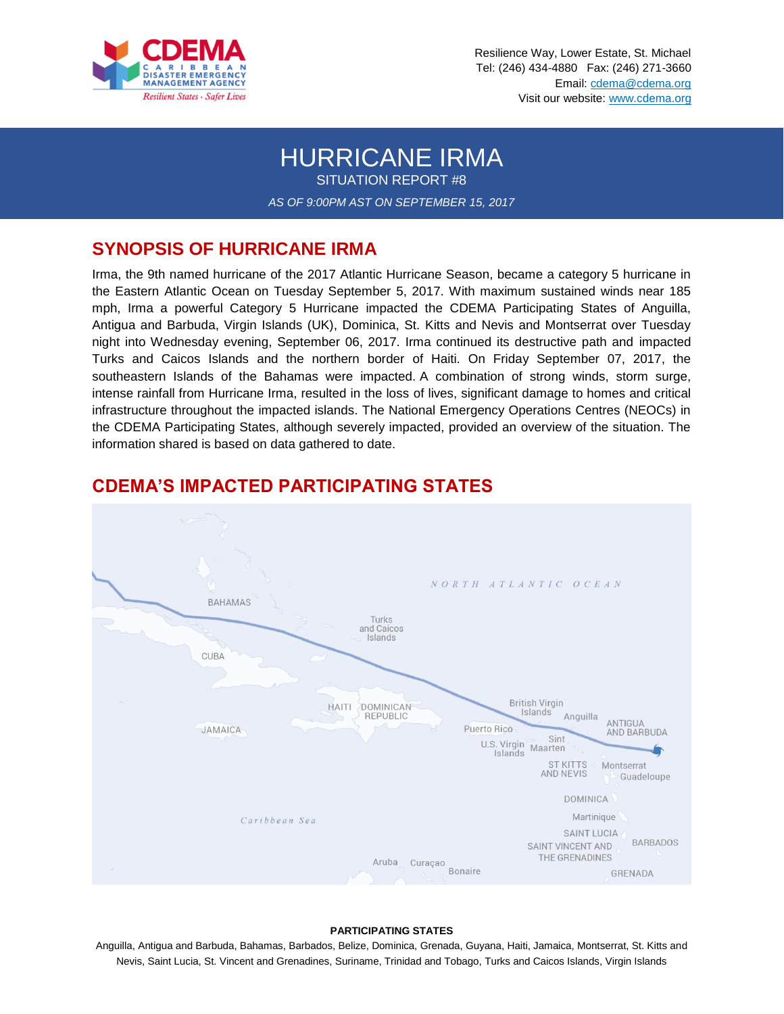

Resilience Way, Lower Estate, St. Michael Tel: (246) 434-4880 Fax: (246) 271-3660 Email: cdema@cdema.org Visit our website: www.cdema.org

# HURRICANE IRMA

SITUATION REPORT #8

*AS OF 9:00PM AST ON SEPTEMBER 15, 2017*

## **SYNOPSIS OF HURRICANE IRMA**

Irma, the 9th named hurricane of the 2017 Atlantic Hurricane Season, became a category 5 hurricane in the Eastern Atlantic Ocean on Tuesday September 5, 2017. With maximum sustained winds near 185 mph, Irma a powerful Category 5 Hurricane impacted the CDEMA Participating States of Anguilla, Antigua and Barbuda, Virgin Islands (UK), Dominica, St. Kitts and Nevis and Montserrat over Tuesday night into Wednesday evening, September 06, 2017. Irma continued its destructive path and impacted Turks and Caicos Islands and the northern border of Haiti. On Friday September 07, 2017, the southeastern Islands of the Bahamas were impacted. A combination of strong winds, storm surge, intense rainfall from Hurricane Irma, resulted in the loss of lives, significant damage to homes and critical infrastructure throughout the impacted islands. The National Emergency Operations Centres (NEOCs) in the CDEMA Participating States, although severely impacted, provided an overview of the situation. The information shared is based on data gathered to date.



# **CDEMA'S IMPACTED PARTICIPATING STATES**

#### **PARTICIPATING STATES**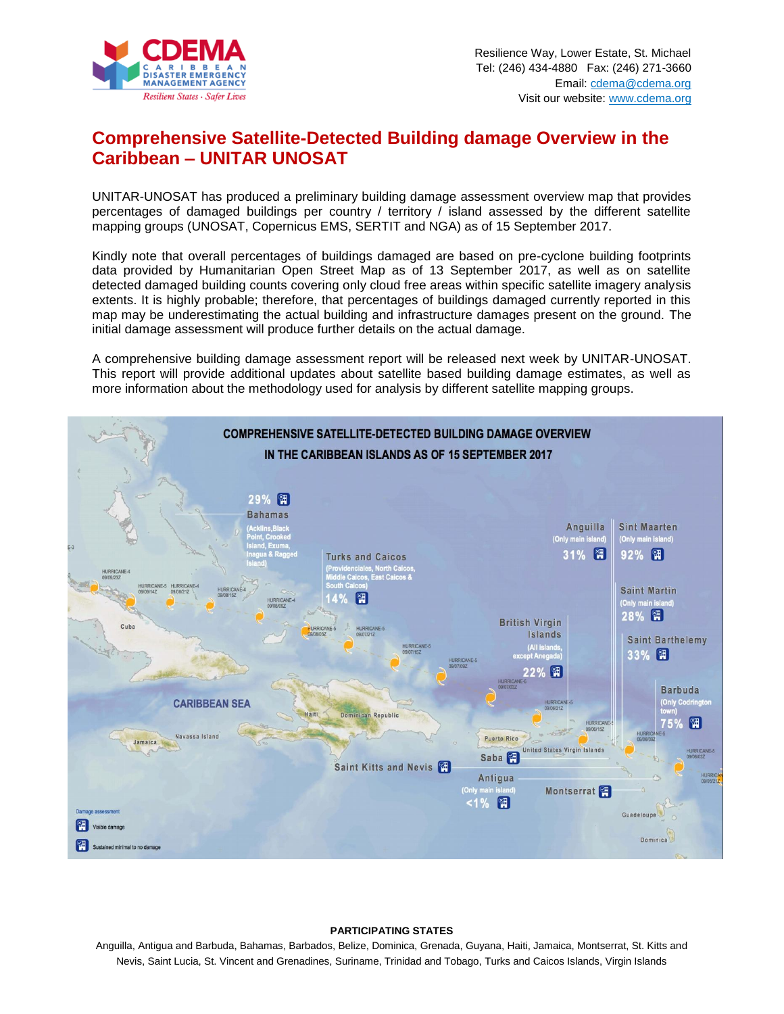

# **Comprehensive Satellite-Detected Building damage Overview in the Caribbean – UNITAR UNOSAT**

UNITAR-UNOSAT has produced a preliminary building damage assessment overview map that provides percentages of damaged buildings per country / territory / island assessed by the different satellite mapping groups (UNOSAT, Copernicus EMS, SERTIT and NGA) as of 15 September 2017.

Kindly note that overall percentages of buildings damaged are based on pre-cyclone building footprints data provided by Humanitarian Open Street Map as of 13 September 2017, as well as on satellite detected damaged building counts covering only cloud free areas within specific satellite imagery analysis extents. It is highly probable; therefore, that percentages of buildings damaged currently reported in this map may be underestimating the actual building and infrastructure damages present on the ground. The initial damage assessment will produce further details on the actual damage.

A comprehensive building damage assessment report will be released next week by UNITAR-UNOSAT. This report will provide additional updates about satellite based building damage estimates, as well as more information about the methodology used for analysis by different satellite mapping groups.



#### **PARTICIPATING STATES**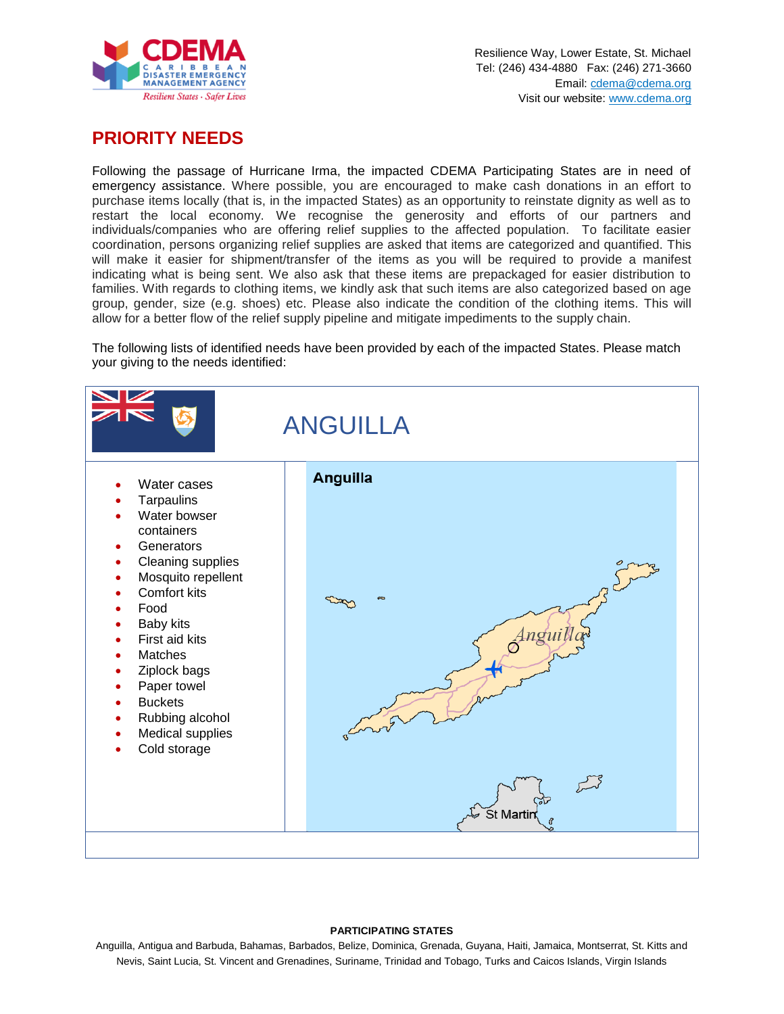

## **PRIORITY NEEDS**

Following the passage of Hurricane Irma, the impacted CDEMA Participating States are in need of emergency assistance. Where possible, you are encouraged to make cash donations in an effort to purchase items locally (that is, in the impacted States) as an opportunity to reinstate dignity as well as to restart the local economy. We recognise the generosity and efforts of our partners and individuals/companies who are offering relief supplies to the affected population. To facilitate easier coordination, persons organizing relief supplies are asked that items are categorized and quantified. This will make it easier for shipment/transfer of the items as you will be required to provide a manifest indicating what is being sent. We also ask that these items are prepackaged for easier distribution to families. With regards to clothing items, we kindly ask that such items are also categorized based on age group, gender, size (e.g. shoes) etc. Please also indicate the condition of the clothing items. This will allow for a better flow of the relief supply pipeline and mitigate impediments to the supply chain.

The following lists of identified needs have been provided by each of the impacted States. Please match your giving to the needs identified:



#### **PARTICIPATING STATES**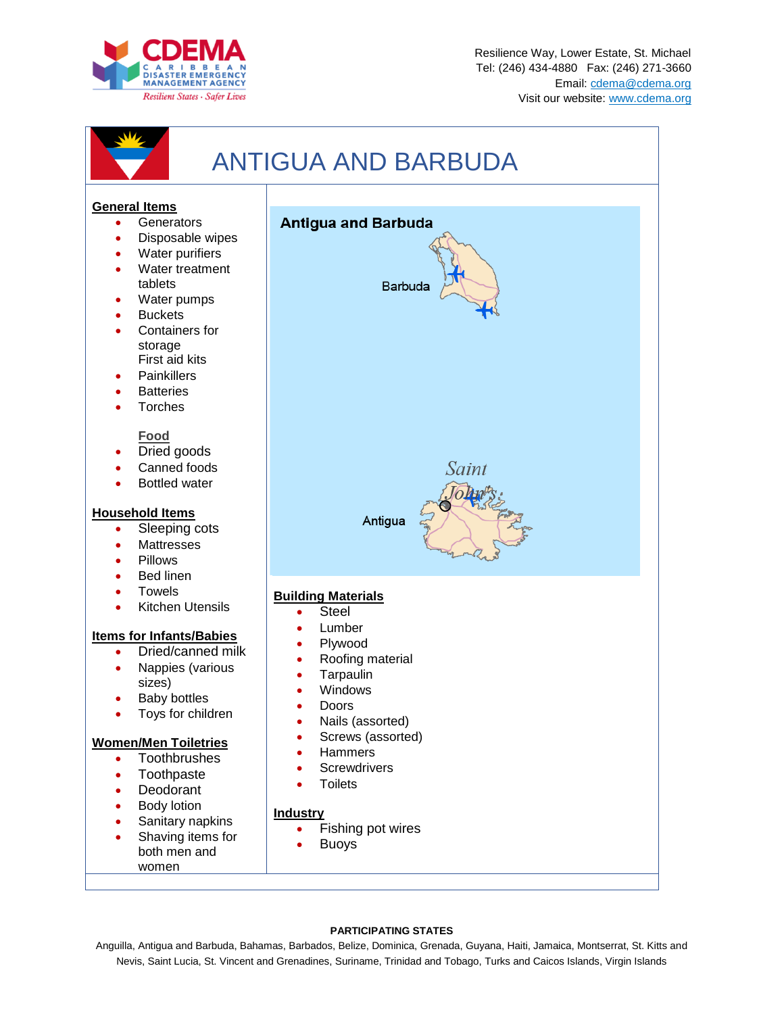



#### **PARTICIPATING STATES**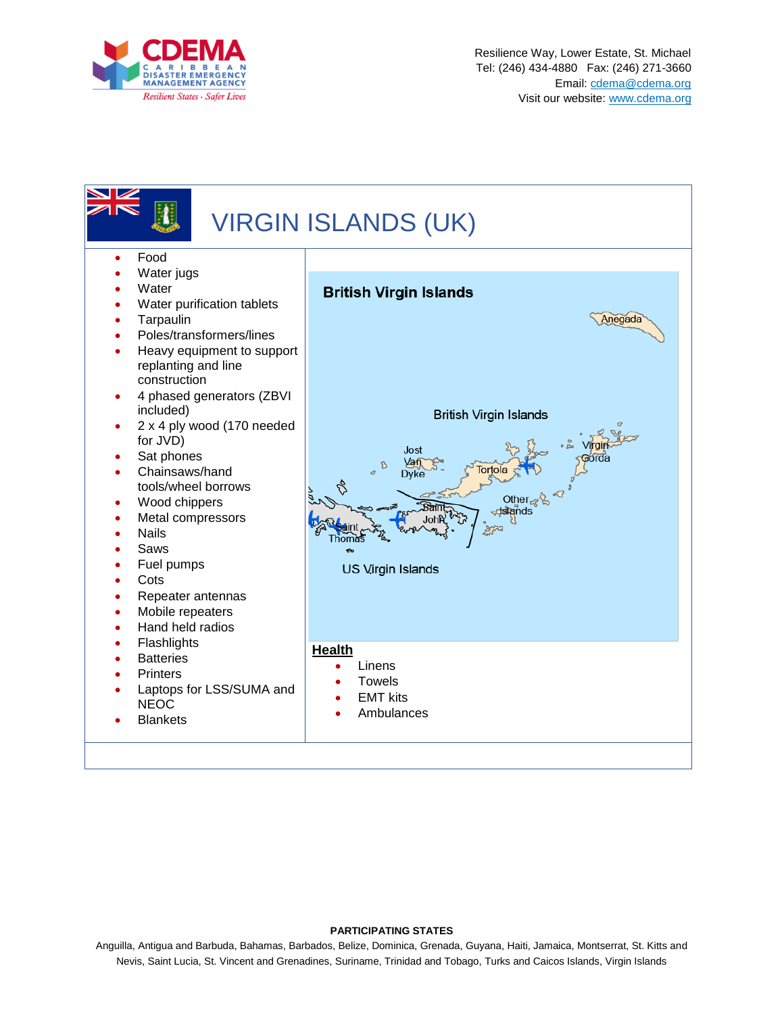



#### **PARTICIPATING STATES**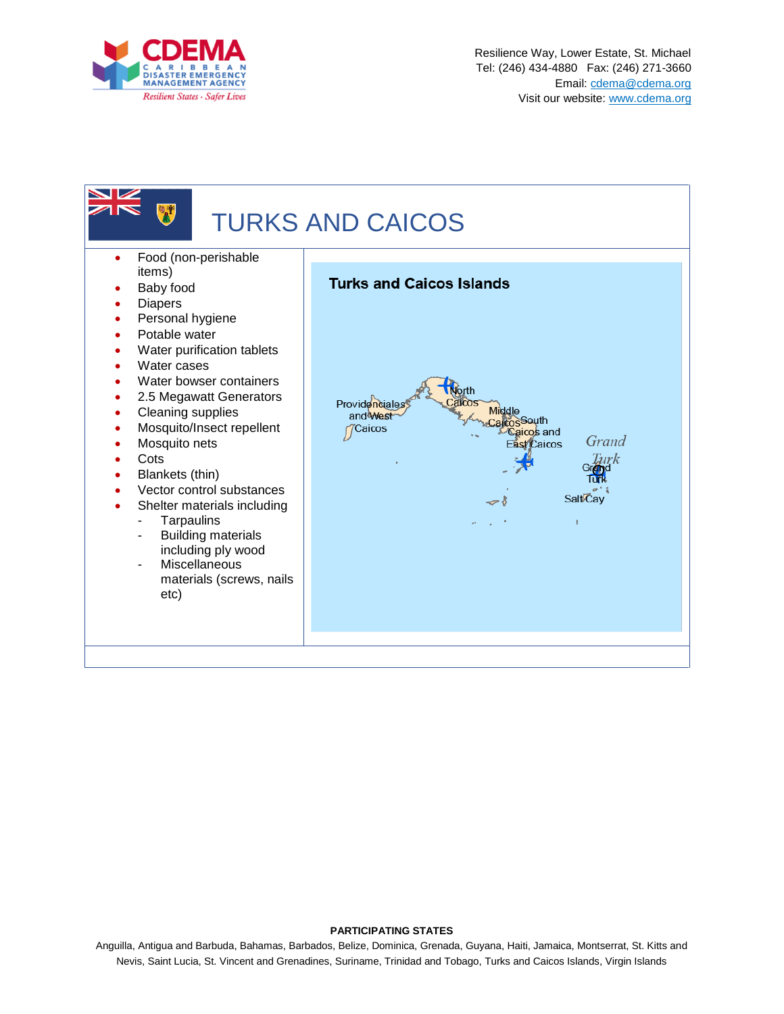



#### **PARTICIPATING STATES**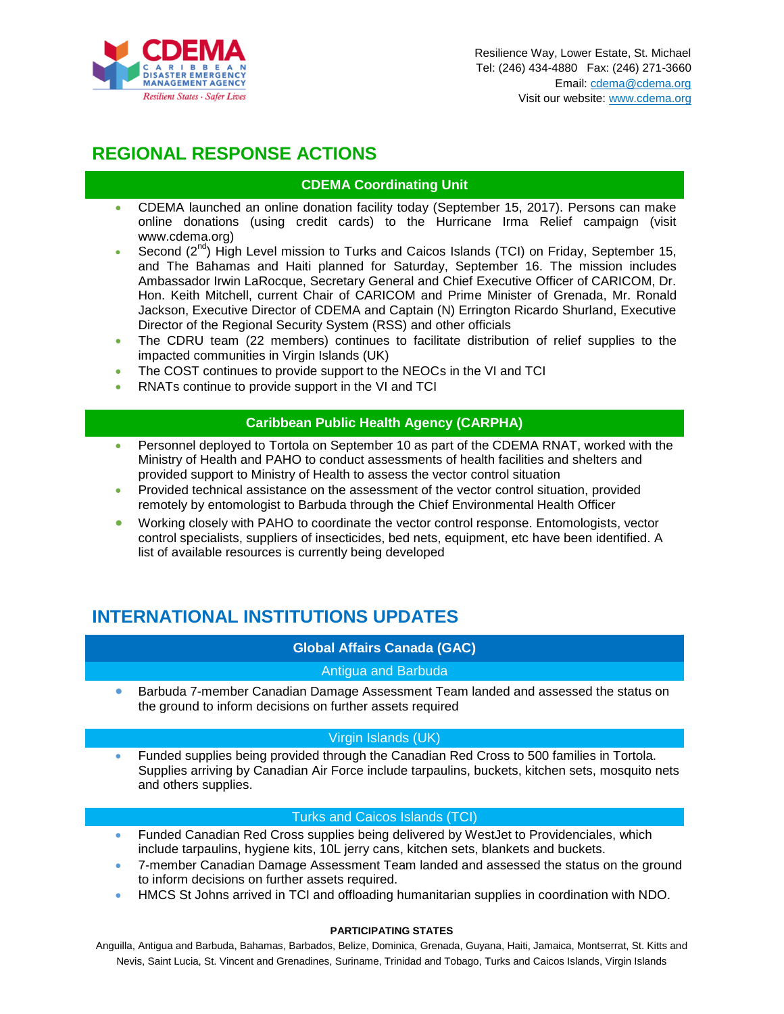![](_page_6_Picture_0.jpeg)

# **REGIONAL RESPONSE ACTIONS**

## **CDEMA Coordinating Unit**

- CDEMA launched an online donation facility today (September 15, 2017). Persons can make online donations (using credit cards) to the Hurricane Irma Relief campaign (visit www.cdema.org)
- Second  $(2^{nd})$  High Level mission to Turks and Caicos Islands (TCI) on Friday, September 15, and The Bahamas and Haiti planned for Saturday, September 16. The mission includes Ambassador Irwin LaRocque, Secretary General and Chief Executive Officer of CARICOM, Dr. Hon. Keith Mitchell, current Chair of CARICOM and Prime Minister of Grenada, Mr. Ronald Jackson, Executive Director of CDEMA and Captain (N) Errington Ricardo Shurland, Executive Director of the Regional Security System (RSS) and other officials
- The CDRU team (22 members) continues to facilitate distribution of relief supplies to the impacted communities in Virgin Islands (UK)
- The COST continues to provide support to the NEOCs in the VI and TCI
- RNATs continue to provide support in the VI and TCI

## **Caribbean Public Health Agency (CARPHA)**

- Personnel deployed to Tortola on September 10 as part of the CDEMA RNAT, worked with the Ministry of Health and PAHO to conduct assessments of health facilities and shelters and provided support to Ministry of Health to assess the vector control situation
- Provided technical assistance on the assessment of the vector control situation, provided remotely by entomologist to Barbuda through the Chief Environmental Health Officer
- Working closely with PAHO to coordinate the vector control response. Entomologists, vector control specialists, suppliers of insecticides, bed nets, equipment, etc have been identified. A list of available resources is currently being developed

# **INTERNATIONAL INSTITUTIONS UPDATES**

## **Global Affairs Canada (GAC)**

## Antigua and Barbuda

 Barbuda 7-member Canadian Damage Assessment Team landed and assessed the status on the ground to inform decisions on further assets required

#### Virgin Islands (UK)

 Funded supplies being provided through the Canadian Red Cross to 500 families in Tortola. Supplies arriving by Canadian Air Force include tarpaulins, buckets, kitchen sets, mosquito nets and others supplies.

## Turks and Caicos Islands (TCI)

- Funded Canadian Red Cross supplies being delivered by WestJet to Providenciales, which include tarpaulins, hygiene kits, 10L jerry cans, kitchen sets, blankets and buckets.
- 7-member Canadian Damage Assessment Team landed and assessed the status on the ground to inform decisions on further assets required.
- HMCS St Johns arrived in TCI and offloading humanitarian supplies in coordination with NDO.

#### **PARTICIPATING STATES**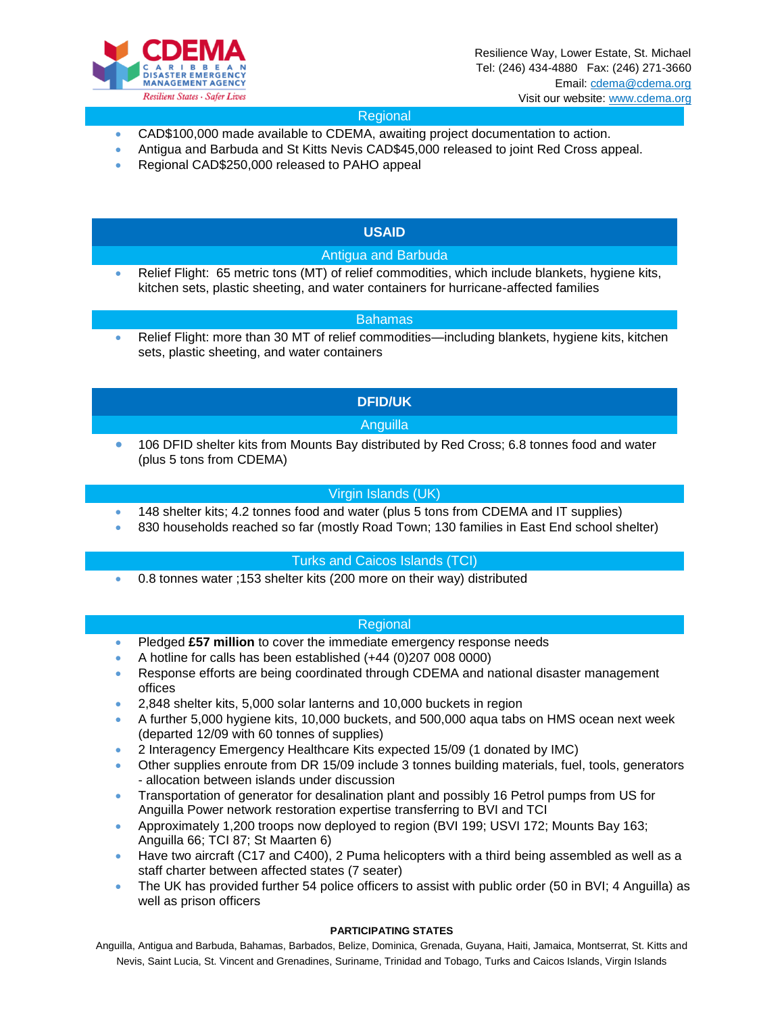![](_page_7_Picture_0.jpeg)

## Regional

- CAD\$100,000 made available to CDEMA, awaiting project documentation to action.
- Antigua and Barbuda and St Kitts Nevis CAD\$45,000 released to joint Red Cross appeal.
- Regional CAD\$250,000 released to PAHO appeal

## **USAID**

## Antigua and Barbuda

 Relief Flight: 65 metric tons (MT) of relief commodities, which include blankets, hygiene kits, kitchen sets, plastic sheeting, and water containers for hurricane-affected families

#### Bahamas

 Relief Flight: more than 30 MT of relief commodities—including blankets, hygiene kits, kitchen sets, plastic sheeting, and water containers

## **DFID/UK**

## Anguilla

 106 DFID shelter kits from Mounts Bay distributed by Red Cross; 6.8 tonnes food and water (plus 5 tons from CDEMA)

## Virgin Islands (UK)

- 148 shelter kits; 4.2 tonnes food and water (plus 5 tons from CDEMA and IT supplies)
- 830 households reached so far (mostly Road Town; 130 families in East End school shelter)

#### Turks and Caicos Islands (TCI)

0.8 tonnes water ;153 shelter kits (200 more on their way) distributed

#### Regional

- Pledged **£57 million** to cover the immediate emergency response needs
- A hotline for calls has been established (+44 (0)207 008 0000)
- Response efforts are being coordinated through CDEMA and national disaster management offices
- 2,848 shelter kits, 5,000 solar lanterns and 10,000 buckets in region
- A further 5,000 hygiene kits, 10,000 buckets, and 500,000 aqua tabs on HMS ocean next week (departed 12/09 with 60 tonnes of supplies)
- 2 Interagency Emergency Healthcare Kits expected 15/09 (1 donated by IMC)
- Other supplies enroute from DR 15/09 include 3 tonnes building materials, fuel, tools, generators - allocation between islands under discussion
- Transportation of generator for desalination plant and possibly 16 Petrol pumps from US for Anguilla Power network restoration expertise transferring to BVI and TCI
- Approximately 1,200 troops now deployed to region (BVI 199; USVI 172; Mounts Bay 163; Anguilla 66; TCI 87; St Maarten 6)
- Have two aircraft (C17 and C400), 2 Puma helicopters with a third being assembled as well as a staff charter between affected states (7 seater)
- The UK has provided further 54 police officers to assist with public order (50 in BVI; 4 Anguilla) as well as prison officers

#### **PARTICIPATING STATES**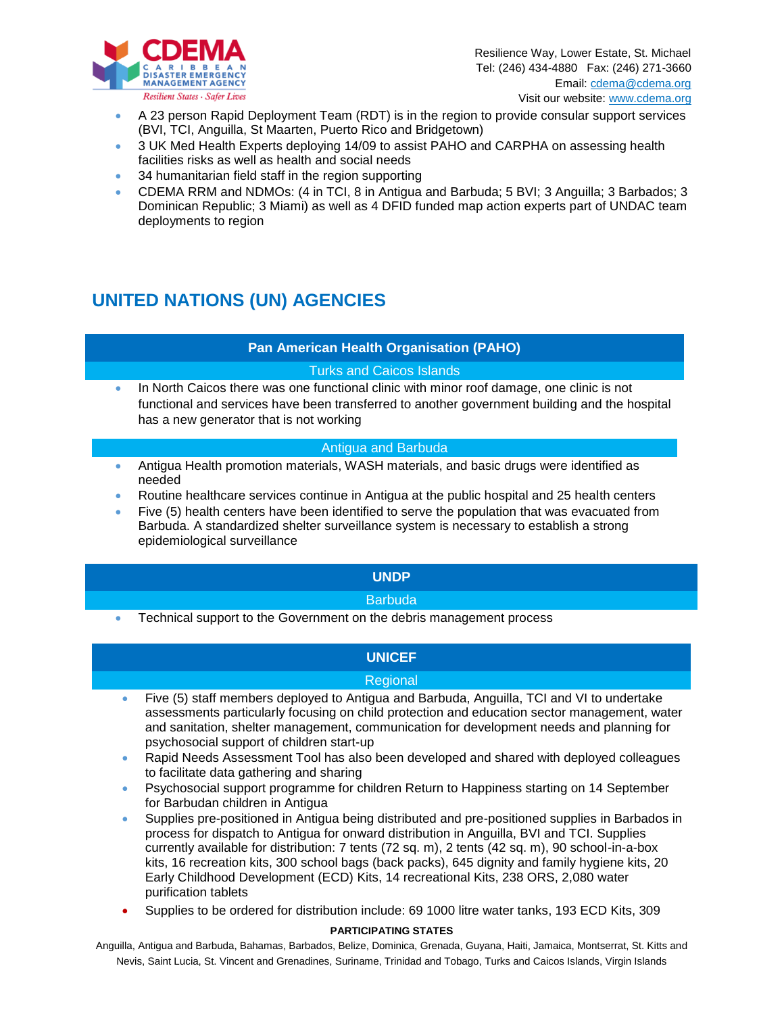![](_page_8_Picture_0.jpeg)

- A 23 person Rapid Deployment Team (RDT) is in the region to provide consular support services (BVI, TCI, Anguilla, St Maarten, Puerto Rico and Bridgetown)
- 3 UK Med Health Experts deploying 14/09 to assist PAHO and CARPHA on assessing health facilities risks as well as health and social needs
- 34 humanitarian field staff in the region supporting
- CDEMA RRM and NDMOs: (4 in TCI, 8 in Antigua and Barbuda; 5 BVI; 3 Anguilla; 3 Barbados; 3 Dominican Republic; 3 Miami) as well as 4 DFID funded map action experts part of UNDAC team deployments to region

# **UNITED NATIONS (UN) AGENCIES**

## **Pan American Health Organisation (PAHO)**

## Turks and Caicos Islands

 In North Caicos there was one functional clinic with minor roof damage, one clinic is not functional and services have been transferred to another government building and the hospital has a new generator that is not working

## Antigua and Barbuda

- Antigua Health promotion materials, WASH materials, and basic drugs were identified as needed
- Routine healthcare services continue in Antigua at the public hospital and 25 health centers Five (5) health centers have been identified to serve the population that was evacuated from
- Barbuda. A standardized shelter surveillance system is necessary to establish a strong epidemiological surveillance

## **UNDP**

## **Barbuda**

Technical support to the Government on the debris management process

## **UNICEF**

## Regional

- Five (5) staff members deployed to Antigua and Barbuda, Anguilla, TCI and VI to undertake assessments particularly focusing on child protection and education sector management, water and sanitation, shelter management, communication for development needs and planning for psychosocial support of children start-up
- Rapid Needs Assessment Tool has also been developed and shared with deployed colleagues to facilitate data gathering and sharing
- Psychosocial support programme for children Return to Happiness starting on 14 September for Barbudan children in Antigua
- Supplies pre-positioned in Antigua being distributed and pre-positioned supplies in Barbados in process for dispatch to Antigua for onward distribution in Anguilla, BVI and TCI. Supplies currently available for distribution: 7 tents (72 sq. m), 2 tents (42 sq. m), 90 school-in-a-box kits, 16 recreation kits, 300 school bags (back packs), 645 dignity and family hygiene kits, 20 Early Childhood Development (ECD) Kits, 14 recreational Kits, 238 ORS, 2,080 water purification tablets
- Supplies to be ordered for distribution include: 69 1000 litre water tanks, 193 ECD Kits, 309

#### **PARTICIPATING STATES**